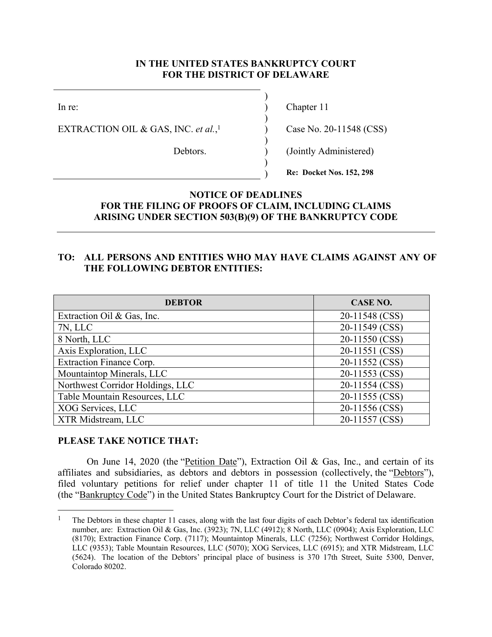### **IN THE UNITED STATES BANKRUPTCY COURT FOR THE DISTRICT OF DELAWARE**

EXTRACTION OIL & GAS, INC. *et al.*,

 $\overline{\phantom{a}}$ 

 $\overline{\phantom{a}}$ 

 $\overline{\phantom{a}}$ 

 $\overline{\phantom{a}}$ 

In re: (a) Chapter 11

Case No. 20-11548 (CSS)

Debtors. (Jointly Administered)

) **Re: Docket Nos. 152, 298**

## **NOTICE OF DEADLINES FOR THE FILING OF PROOFS OF CLAIM, INCLUDING CLAIMS ARISING UNDER SECTION 503(B)(9) OF THE BANKRUPTCY CODE**

## **TO: ALL PERSONS AND ENTITIES WHO MAY HAVE CLAIMS AGAINST ANY OF THE FOLLOWING DEBTOR ENTITIES:**

| <b>DEBTOR</b>                    | CASE NO.       |
|----------------------------------|----------------|
| Extraction Oil & Gas, Inc.       | 20-11548 (CSS) |
| 7N, LLC                          | 20-11549 (CSS) |
| 8 North, LLC                     | 20-11550 (CSS) |
| Axis Exploration, LLC            | 20-11551 (CSS) |
| <b>Extraction Finance Corp.</b>  | 20-11552 (CSS) |
| Mountaintop Minerals, LLC        | 20-11553 (CSS) |
| Northwest Corridor Holdings, LLC | 20-11554 (CSS) |
| Table Mountain Resources, LLC    | 20-11555 (CSS) |
| XOG Services, LLC                | 20-11556 (CSS) |
| XTR Midstream, LLC               | 20-11557 (CSS) |

#### **PLEASE TAKE NOTICE THAT:**

 $\overline{a}$ 

On June 14, 2020 (the "Petition Date"), Extraction Oil & Gas, Inc., and certain of its affiliates and subsidiaries, as debtors and debtors in possession (collectively, the "Debtors"), filed voluntary petitions for relief under chapter 11 of title 11 the United States Code (the "Bankruptcy Code") in the United States Bankruptcy Court for the District of Delaware.

<sup>&</sup>lt;sup>1</sup> The Debtors in these chapter 11 cases, along with the last four digits of each Debtor's federal tax identification number, are: Extraction Oil & Gas, Inc. (3923); 7N, LLC (4912); 8 North, LLC (0904); Axis Exploration, LLC (8170); Extraction Finance Corp. (7117); Mountaintop Minerals, LLC (7256); Northwest Corridor Holdings, LLC (9353); Table Mountain Resources, LLC (5070); XOG Services, LLC (6915); and XTR Midstream, LLC (5624). The location of the Debtors' principal place of business is 370 17th Street, Suite 5300, Denver, Colorado 80202.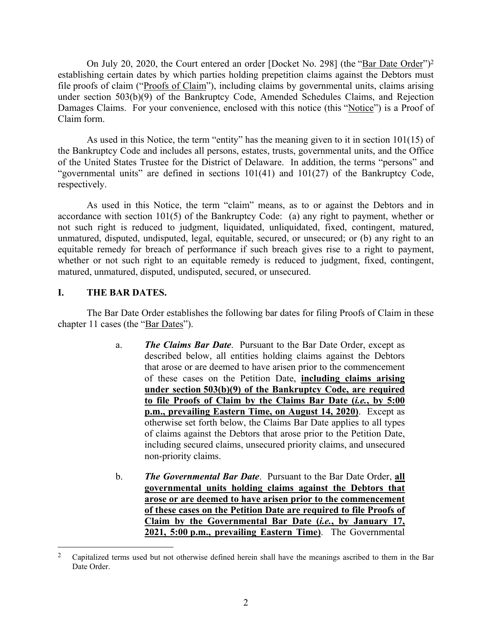On July 20, 2020, the Court entered an order [Docket No. 298] (the "Bar Date Order")<sup>2</sup> establishing certain dates by which parties holding prepetition claims against the Debtors must file proofs of claim ("Proofs of Claim"), including claims by governmental units, claims arising under section 503(b)(9) of the Bankruptcy Code, Amended Schedules Claims, and Rejection Damages Claims. For your convenience, enclosed with this notice (this "Notice") is a Proof of Claim form.

As used in this Notice, the term "entity" has the meaning given to it in section 101(15) of the Bankruptcy Code and includes all persons, estates, trusts, governmental units, and the Office of the United States Trustee for the District of Delaware. In addition, the terms "persons" and "governmental units" are defined in sections 101(41) and 101(27) of the Bankruptcy Code, respectively.

As used in this Notice, the term "claim" means, as to or against the Debtors and in accordance with section 101(5) of the Bankruptcy Code: (a) any right to payment, whether or not such right is reduced to judgment, liquidated, unliquidated, fixed, contingent, matured, unmatured, disputed, undisputed, legal, equitable, secured, or unsecured; or (b) any right to an equitable remedy for breach of performance if such breach gives rise to a right to payment, whether or not such right to an equitable remedy is reduced to judgment, fixed, contingent, matured, unmatured, disputed, undisputed, secured, or unsecured.

# **I. THE BAR DATES.**

 $\overline{a}$ 

The Bar Date Order establishes the following bar dates for filing Proofs of Claim in these chapter 11 cases (the "Bar Dates").

- a. *The Claims Bar Date*. Pursuant to the Bar Date Order, except as described below, all entities holding claims against the Debtors that arose or are deemed to have arisen prior to the commencement of these cases on the Petition Date, **including claims arising under section 503(b)(9) of the Bankruptcy Code, are required to file Proofs of Claim by the Claims Bar Date (***i.e.***, by 5:00 p.m., prevailing Eastern Time, on August 14, 2020)**. Except as otherwise set forth below, the Claims Bar Date applies to all types of claims against the Debtors that arose prior to the Petition Date, including secured claims, unsecured priority claims, and unsecured non-priority claims.
- b. *The Governmental Bar Date*. Pursuant to the Bar Date Order, **all governmental units holding claims against the Debtors that arose or are deemed to have arisen prior to the commencement of these cases on the Petition Date are required to file Proofs of Claim by the Governmental Bar Date (***i.e.***, by January 17, 2021, 5:00 p.m., prevailing Eastern Time)**. The Governmental

<sup>&</sup>lt;sup>2</sup> Capitalized terms used but not otherwise defined herein shall have the meanings ascribed to them in the Bar Date Order.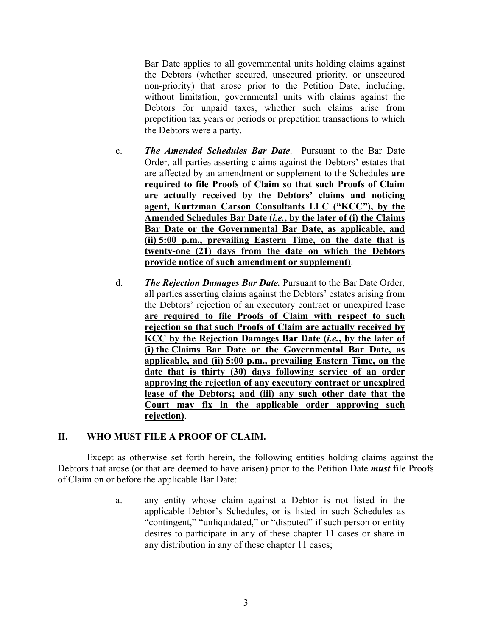Bar Date applies to all governmental units holding claims against the Debtors (whether secured, unsecured priority, or unsecured non-priority) that arose prior to the Petition Date, including, without limitation, governmental units with claims against the Debtors for unpaid taxes, whether such claims arise from prepetition tax years or periods or prepetition transactions to which the Debtors were a party.

- c. *The Amended Schedules Bar Date*. Pursuant to the Bar Date Order, all parties asserting claims against the Debtors' estates that are affected by an amendment or supplement to the Schedules **are required to file Proofs of Claim so that such Proofs of Claim are actually received by the Debtors' claims and noticing agent, Kurtzman Carson Consultants LLC ("KCC"), by the Amended Schedules Bar Date (***i.e.***, by the later of (i) the Claims Bar Date or the Governmental Bar Date, as applicable, and (ii) 5:00 p.m., prevailing Eastern Time, on the date that is twenty-one (21) days from the date on which the Debtors provide notice of such amendment or supplement)**.
- d. *The Rejection Damages Bar Date.* Pursuant to the Bar Date Order, all parties asserting claims against the Debtors' estates arising from the Debtors' rejection of an executory contract or unexpired lease **are required to file Proofs of Claim with respect to such rejection so that such Proofs of Claim are actually received by KCC by the Rejection Damages Bar Date (***i.e.***, by the later of (i) the Claims Bar Date or the Governmental Bar Date, as applicable, and (ii) 5:00 p.m., prevailing Eastern Time, on the date that is thirty (30) days following service of an order approving the rejection of any executory contract or unexpired lease of the Debtors; and (iii) any such other date that the Court may fix in the applicable order approving such rejection)**.

## **II. WHO MUST FILE A PROOF OF CLAIM.**

Except as otherwise set forth herein, the following entities holding claims against the Debtors that arose (or that are deemed to have arisen) prior to the Petition Date *must* file Proofs of Claim on or before the applicable Bar Date:

> a. any entity whose claim against a Debtor is not listed in the applicable Debtor's Schedules, or is listed in such Schedules as "contingent," "unliquidated," or "disputed" if such person or entity desires to participate in any of these chapter 11 cases or share in any distribution in any of these chapter 11 cases;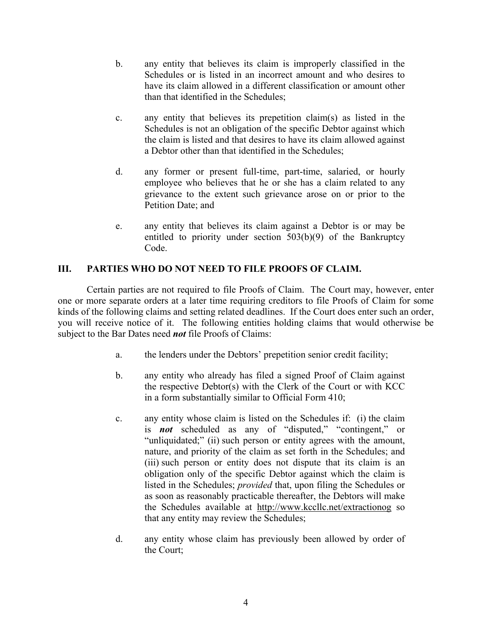- b. any entity that believes its claim is improperly classified in the Schedules or is listed in an incorrect amount and who desires to have its claim allowed in a different classification or amount other than that identified in the Schedules;
- c. any entity that believes its prepetition claim(s) as listed in the Schedules is not an obligation of the specific Debtor against which the claim is listed and that desires to have its claim allowed against a Debtor other than that identified in the Schedules;
- d. any former or present full-time, part-time, salaried, or hourly employee who believes that he or she has a claim related to any grievance to the extent such grievance arose on or prior to the Petition Date; and
- e. any entity that believes its claim against a Debtor is or may be entitled to priority under section 503(b)(9) of the Bankruptcy Code.

## **III. PARTIES WHO DO NOT NEED TO FILE PROOFS OF CLAIM.**

Certain parties are not required to file Proofs of Claim. The Court may, however, enter one or more separate orders at a later time requiring creditors to file Proofs of Claim for some kinds of the following claims and setting related deadlines. If the Court does enter such an order, you will receive notice of it. The following entities holding claims that would otherwise be subject to the Bar Dates need *not* file Proofs of Claims:

- a. the lenders under the Debtors' prepetition senior credit facility;
- b. any entity who already has filed a signed Proof of Claim against the respective Debtor(s) with the Clerk of the Court or with KCC in a form substantially similar to Official Form 410;
- c. any entity whose claim is listed on the Schedules if: (i) the claim is *not* scheduled as any of "disputed," "contingent," or "unliquidated;" (ii) such person or entity agrees with the amount, nature, and priority of the claim as set forth in the Schedules; and (iii) such person or entity does not dispute that its claim is an obligation only of the specific Debtor against which the claim is listed in the Schedules; *provided* that, upon filing the Schedules or as soon as reasonably practicable thereafter, the Debtors will make the Schedules available at http://www.kccllc.net/extractionog so that any entity may review the Schedules;
- d. any entity whose claim has previously been allowed by order of the Court;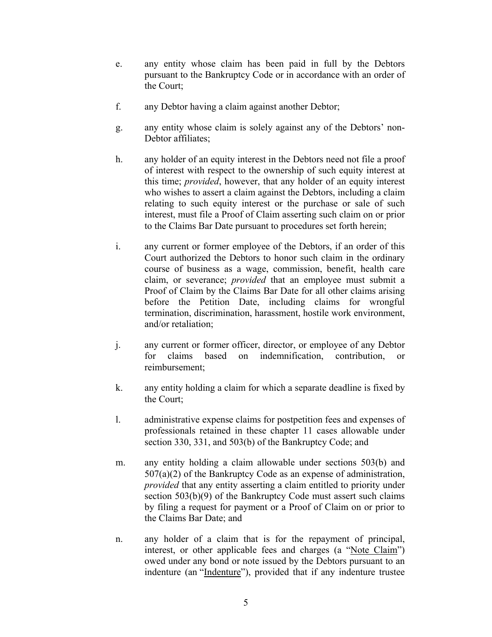- e. any entity whose claim has been paid in full by the Debtors pursuant to the Bankruptcy Code or in accordance with an order of the Court;
- f. any Debtor having a claim against another Debtor;
- g. any entity whose claim is solely against any of the Debtors' non-Debtor affiliates;
- h. any holder of an equity interest in the Debtors need not file a proof of interest with respect to the ownership of such equity interest at this time; *provided*, however, that any holder of an equity interest who wishes to assert a claim against the Debtors, including a claim relating to such equity interest or the purchase or sale of such interest, must file a Proof of Claim asserting such claim on or prior to the Claims Bar Date pursuant to procedures set forth herein;
- i. any current or former employee of the Debtors, if an order of this Court authorized the Debtors to honor such claim in the ordinary course of business as a wage, commission, benefit, health care claim, or severance; *provided* that an employee must submit a Proof of Claim by the Claims Bar Date for all other claims arising before the Petition Date, including claims for wrongful termination, discrimination, harassment, hostile work environment, and/or retaliation;
- j. any current or former officer, director, or employee of any Debtor for claims based on indemnification, contribution, or reimbursement;
- k. any entity holding a claim for which a separate deadline is fixed by the Court;
- l. administrative expense claims for postpetition fees and expenses of professionals retained in these chapter 11 cases allowable under section 330, 331, and 503(b) of the Bankruptcy Code; and
- m. any entity holding a claim allowable under sections 503(b) and 507(a)(2) of the Bankruptcy Code as an expense of administration, *provided* that any entity asserting a claim entitled to priority under section 503(b)(9) of the Bankruptcy Code must assert such claims by filing a request for payment or a Proof of Claim on or prior to the Claims Bar Date; and
- n. any holder of a claim that is for the repayment of principal, interest, or other applicable fees and charges (a "Note Claim") owed under any bond or note issued by the Debtors pursuant to an indenture (an "Indenture"), provided that if any indenture trustee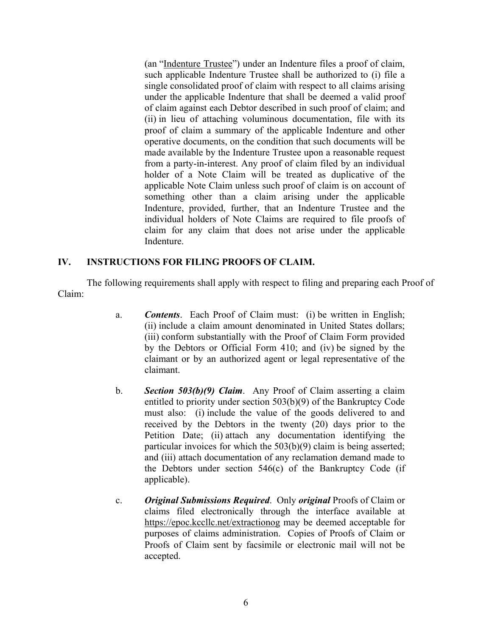(an "Indenture Trustee") under an Indenture files a proof of claim, such applicable Indenture Trustee shall be authorized to (i) file a single consolidated proof of claim with respect to all claims arising under the applicable Indenture that shall be deemed a valid proof of claim against each Debtor described in such proof of claim; and (ii) in lieu of attaching voluminous documentation, file with its proof of claim a summary of the applicable Indenture and other operative documents, on the condition that such documents will be made available by the Indenture Trustee upon a reasonable request from a party-in-interest. Any proof of claim filed by an individual holder of a Note Claim will be treated as duplicative of the applicable Note Claim unless such proof of claim is on account of something other than a claim arising under the applicable Indenture, provided, further, that an Indenture Trustee and the individual holders of Note Claims are required to file proofs of claim for any claim that does not arise under the applicable Indenture.

## **IV. INSTRUCTIONS FOR FILING PROOFS OF CLAIM.**

The following requirements shall apply with respect to filing and preparing each Proof of Claim:

- a. *Contents*. Each Proof of Claim must: (i) be written in English; (ii) include a claim amount denominated in United States dollars; (iii) conform substantially with the Proof of Claim Form provided by the Debtors or Official Form 410; and (iv) be signed by the claimant or by an authorized agent or legal representative of the claimant.
- b. *Section 503(b)(9) Claim*. Any Proof of Claim asserting a claim entitled to priority under section 503(b)(9) of the Bankruptcy Code must also: (i) include the value of the goods delivered to and received by the Debtors in the twenty (20) days prior to the Petition Date; (ii) attach any documentation identifying the particular invoices for which the 503(b)(9) claim is being asserted; and (iii) attach documentation of any reclamation demand made to the Debtors under section 546(c) of the Bankruptcy Code (if applicable).
- c. *Original Submissions Required*. Only *original* Proofs of Claim or claims filed electronically through the interface available at https://epoc.kccllc.net/extractionog may be deemed acceptable for purposes of claims administration. Copies of Proofs of Claim or Proofs of Claim sent by facsimile or electronic mail will not be accepted.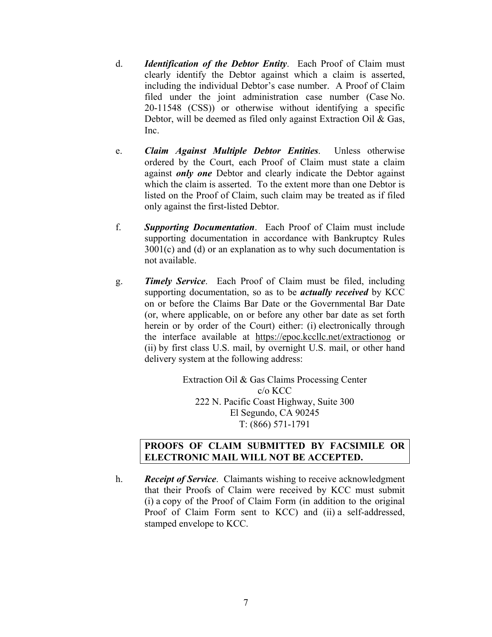- d. *Identification of the Debtor Entity*. Each Proof of Claim must clearly identify the Debtor against which a claim is asserted, including the individual Debtor's case number. A Proof of Claim filed under the joint administration case number (Case No. 20-11548 (CSS)) or otherwise without identifying a specific Debtor, will be deemed as filed only against Extraction Oil & Gas, Inc.
- e. *Claim Against Multiple Debtor Entities*. Unless otherwise ordered by the Court, each Proof of Claim must state a claim against *only one* Debtor and clearly indicate the Debtor against which the claim is asserted. To the extent more than one Debtor is listed on the Proof of Claim, such claim may be treated as if filed only against the first-listed Debtor.
- f. *Supporting Documentation*. Each Proof of Claim must include supporting documentation in accordance with Bankruptcy Rules  $3001(c)$  and (d) or an explanation as to why such documentation is not available.
- g. *Timely Service*. Each Proof of Claim must be filed, including supporting documentation, so as to be *actually received* by KCC on or before the Claims Bar Date or the Governmental Bar Date (or, where applicable, on or before any other bar date as set forth herein or by order of the Court) either: (i) electronically through the interface available at https://epoc.kccllc.net/extractionog or (ii) by first class U.S. mail, by overnight U.S. mail, or other hand delivery system at the following address:

Extraction Oil & Gas Claims Processing Center c/o KCC 222 N. Pacific Coast Highway, Suite 300 El Segundo, CA 90245 T: (866) 571-1791

#### **PROOFS OF CLAIM SUBMITTED BY FACSIMILE OR ELECTRONIC MAIL WILL NOT BE ACCEPTED.**

h. *Receipt of Service*. Claimants wishing to receive acknowledgment that their Proofs of Claim were received by KCC must submit (i) a copy of the Proof of Claim Form (in addition to the original Proof of Claim Form sent to KCC) and (ii) a self-addressed, stamped envelope to KCC.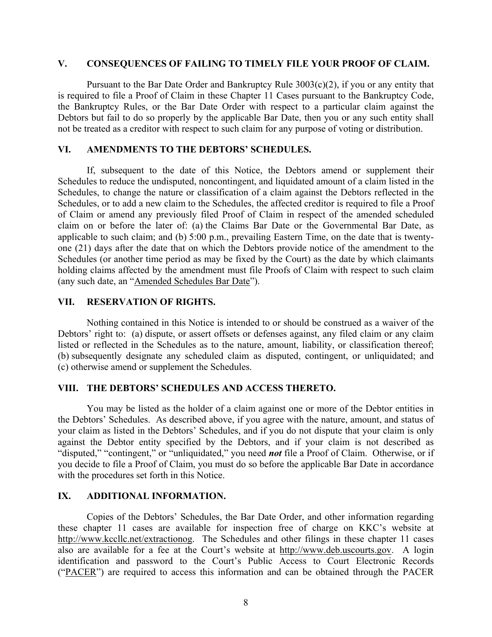#### **V. CONSEQUENCES OF FAILING TO TIMELY FILE YOUR PROOF OF CLAIM.**

Pursuant to the Bar Date Order and Bankruptcy Rule  $3003(c)(2)$ , if you or any entity that is required to file a Proof of Claim in these Chapter 11 Cases pursuant to the Bankruptcy Code, the Bankruptcy Rules, or the Bar Date Order with respect to a particular claim against the Debtors but fail to do so properly by the applicable Bar Date, then you or any such entity shall not be treated as a creditor with respect to such claim for any purpose of voting or distribution.

#### **VI. AMENDMENTS TO THE DEBTORS' SCHEDULES.**

If, subsequent to the date of this Notice, the Debtors amend or supplement their Schedules to reduce the undisputed, noncontingent, and liquidated amount of a claim listed in the Schedules, to change the nature or classification of a claim against the Debtors reflected in the Schedules, or to add a new claim to the Schedules, the affected creditor is required to file a Proof of Claim or amend any previously filed Proof of Claim in respect of the amended scheduled claim on or before the later of: (a) the Claims Bar Date or the Governmental Bar Date, as applicable to such claim; and (b) 5:00 p.m., prevailing Eastern Time, on the date that is twentyone (21) days after the date that on which the Debtors provide notice of the amendment to the Schedules (or another time period as may be fixed by the Court) as the date by which claimants holding claims affected by the amendment must file Proofs of Claim with respect to such claim (any such date, an "Amended Schedules Bar Date").

#### **VII. RESERVATION OF RIGHTS.**

Nothing contained in this Notice is intended to or should be construed as a waiver of the Debtors' right to: (a) dispute, or assert offsets or defenses against, any filed claim or any claim listed or reflected in the Schedules as to the nature, amount, liability, or classification thereof; (b) subsequently designate any scheduled claim as disputed, contingent, or unliquidated; and (c) otherwise amend or supplement the Schedules.

#### **VIII. THE DEBTORS' SCHEDULES AND ACCESS THERETO.**

You may be listed as the holder of a claim against one or more of the Debtor entities in the Debtors' Schedules. As described above, if you agree with the nature, amount, and status of your claim as listed in the Debtors' Schedules, and if you do not dispute that your claim is only against the Debtor entity specified by the Debtors, and if your claim is not described as "disputed," "contingent," or "unliquidated," you need *not* file a Proof of Claim. Otherwise, or if you decide to file a Proof of Claim, you must do so before the applicable Bar Date in accordance with the procedures set forth in this Notice.

## **IX. ADDITIONAL INFORMATION.**

Copies of the Debtors' Schedules, the Bar Date Order, and other information regarding these chapter 11 cases are available for inspection free of charge on KKC's website at http://www.kccllc.net/extractionog. The Schedules and other filings in these chapter 11 cases also are available for a fee at the Court's website at http://www.deb.uscourts.gov. A login identification and password to the Court's Public Access to Court Electronic Records ("PACER") are required to access this information and can be obtained through the PACER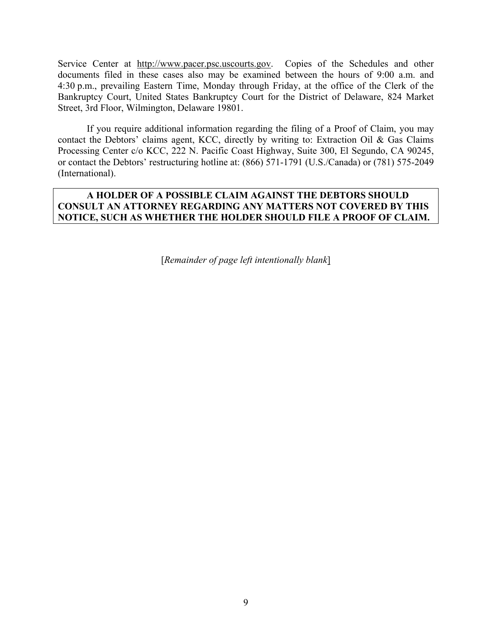Service Center at http://www.pacer.psc.uscourts.gov. Copies of the Schedules and other documents filed in these cases also may be examined between the hours of 9:00 a.m. and 4:30 p.m., prevailing Eastern Time, Monday through Friday, at the office of the Clerk of the Bankruptcy Court, United States Bankruptcy Court for the District of Delaware, 824 Market Street, 3rd Floor, Wilmington, Delaware 19801.

If you require additional information regarding the filing of a Proof of Claim, you may contact the Debtors' claims agent, KCC, directly by writing to: Extraction Oil & Gas Claims Processing Center c/o KCC, 222 N. Pacific Coast Highway, Suite 300, El Segundo, CA 90245, or contact the Debtors' restructuring hotline at: (866) 571-1791 (U.S./Canada) or (781) 575-2049 (International).

## **A HOLDER OF A POSSIBLE CLAIM AGAINST THE DEBTORS SHOULD CONSULT AN ATTORNEY REGARDING ANY MATTERS NOT COVERED BY THIS NOTICE, SUCH AS WHETHER THE HOLDER SHOULD FILE A PROOF OF CLAIM.**

[*Remainder of page left intentionally blank*]